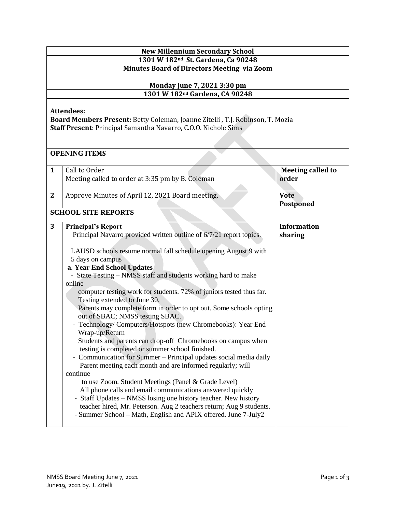| <b>New Millennium Secondary School</b><br>1301 W 182 <sup>nd</sup> St. Gardena, Ca 90248                                                                             |                                                                                                                                                                                                                                                                                                                                                                                                                                                                                                                                                                                                                                                                                                                                                                                                                                                                                                                                                                                                                                                                                                                                                                                                      |                                   |  |  |
|----------------------------------------------------------------------------------------------------------------------------------------------------------------------|------------------------------------------------------------------------------------------------------------------------------------------------------------------------------------------------------------------------------------------------------------------------------------------------------------------------------------------------------------------------------------------------------------------------------------------------------------------------------------------------------------------------------------------------------------------------------------------------------------------------------------------------------------------------------------------------------------------------------------------------------------------------------------------------------------------------------------------------------------------------------------------------------------------------------------------------------------------------------------------------------------------------------------------------------------------------------------------------------------------------------------------------------------------------------------------------------|-----------------------------------|--|--|
| <b>Minutes Board of Directors Meeting via Zoom</b>                                                                                                                   |                                                                                                                                                                                                                                                                                                                                                                                                                                                                                                                                                                                                                                                                                                                                                                                                                                                                                                                                                                                                                                                                                                                                                                                                      |                                   |  |  |
| <b>Monday June 7, 2021 3:30 pm</b><br>1301 W 182 <sup>nd</sup> Gardena, CA 90248                                                                                     |                                                                                                                                                                                                                                                                                                                                                                                                                                                                                                                                                                                                                                                                                                                                                                                                                                                                                                                                                                                                                                                                                                                                                                                                      |                                   |  |  |
| <b>Attendees:</b><br>Board Members Present: Betty Coleman, Joanne Zitelli, T.J. Robinson, T. Mozia<br>Staff Present: Principal Samantha Navarro, C.O.O. Nichole Sims |                                                                                                                                                                                                                                                                                                                                                                                                                                                                                                                                                                                                                                                                                                                                                                                                                                                                                                                                                                                                                                                                                                                                                                                                      |                                   |  |  |
| <b>OPENING ITEMS</b>                                                                                                                                                 |                                                                                                                                                                                                                                                                                                                                                                                                                                                                                                                                                                                                                                                                                                                                                                                                                                                                                                                                                                                                                                                                                                                                                                                                      |                                   |  |  |
| 1                                                                                                                                                                    | Call to Order<br>Meeting called to order at 3:35 pm by B. Coleman                                                                                                                                                                                                                                                                                                                                                                                                                                                                                                                                                                                                                                                                                                                                                                                                                                                                                                                                                                                                                                                                                                                                    | <b>Meeting called to</b><br>order |  |  |
| $\mathbf{2}$                                                                                                                                                         | Approve Minutes of April 12, 2021 Board meeting.                                                                                                                                                                                                                                                                                                                                                                                                                                                                                                                                                                                                                                                                                                                                                                                                                                                                                                                                                                                                                                                                                                                                                     | <b>Vote</b><br><b>Postponed</b>   |  |  |
|                                                                                                                                                                      | <b>SCHOOL SITE REPORTS</b>                                                                                                                                                                                                                                                                                                                                                                                                                                                                                                                                                                                                                                                                                                                                                                                                                                                                                                                                                                                                                                                                                                                                                                           |                                   |  |  |
| 3                                                                                                                                                                    | <b>Principal's Report</b><br>Principal Navarro provided written outline of 6/7/21 report topics.<br>LAUSD schools resume normal fall schedule opening August 9 with<br>5 days on campus<br>a. Year End School Updates<br>- State Testing - NMSS staff and students working hard to make<br>online<br>computer testing work for students. 72% of juniors tested thus far.<br>Testing extended to June 30.<br>Parents may complete form in order to opt out. Some schools opting<br>out of SBAC; NMSS testing SBAC.<br>- Technology/ Computers/Hotspots (new Chromebooks): Year End<br>Wrap-up/Return<br>Students and parents can drop-off Chromebooks on campus when<br>testing is completed or summer school finished.<br>- Communication for Summer – Principal updates social media daily<br>Parent meeting each month and are informed regularly; will<br>continue<br>to use Zoom. Student Meetings (Panel & Grade Level)<br>All phone calls and email communications answered quickly<br>- Staff Updates – NMSS losing one history teacher. New history<br>teacher hired, Mr. Peterson. Aug 2 teachers return; Aug 9 students.<br>- Summer School - Math, English and APIX offered. June 7-July2 | <b>Information</b><br>sharing     |  |  |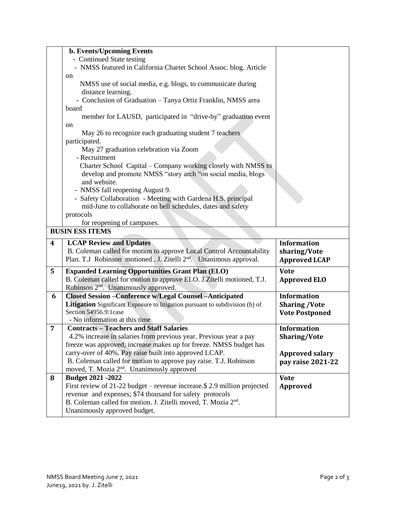|                         | <b>b. Events/Upcoming Events</b>                                                                           |                        |  |  |
|-------------------------|------------------------------------------------------------------------------------------------------------|------------------------|--|--|
|                         | - Continued State testing                                                                                  |                        |  |  |
|                         | - NMSS featured in California Charter School Assoc. blog. Article                                          |                        |  |  |
|                         | on                                                                                                         |                        |  |  |
|                         | NMSS use of social media, e.g. blogs, to communicate during                                                |                        |  |  |
|                         | distance learning.                                                                                         |                        |  |  |
|                         | - Conclusion of Graduation - Tanya Ortiz Franklin, NMSS area                                               |                        |  |  |
|                         | board                                                                                                      |                        |  |  |
|                         | member for LAUSD, participated in "drive-by" graduation event                                              |                        |  |  |
|                         | on                                                                                                         |                        |  |  |
|                         | May 26 to recognize each graduating student 7 teachers                                                     |                        |  |  |
|                         | participated.                                                                                              |                        |  |  |
|                         | May 27 graduation celebration via Zoom                                                                     |                        |  |  |
|                         | - Recruitment                                                                                              |                        |  |  |
|                         | Charter School Capital – Company working closely with NMSS to                                              |                        |  |  |
|                         | develop and promote NMSS "story arch "on social media, blogs                                               |                        |  |  |
|                         | and website.                                                                                               |                        |  |  |
|                         | - NMSS fall reopening August 9.                                                                            |                        |  |  |
|                         | - Safety Collaboration - Meeting with Gardena H.S. principal                                               |                        |  |  |
|                         | mid-June to collaborate on bell schedules, dates and safety                                                |                        |  |  |
|                         | protocols                                                                                                  |                        |  |  |
|                         | for reopening of campuses.                                                                                 |                        |  |  |
| <b>BUSIN ESS ITEMS</b>  |                                                                                                            |                        |  |  |
|                         |                                                                                                            |                        |  |  |
| $\overline{\mathbf{4}}$ | <b>LCAP Review and Updates</b>                                                                             | <b>Information</b>     |  |  |
|                         | B. Coleman called for motion to approve Local Control Accountability                                       | sharing/Vote           |  |  |
|                         | Plan. T.J Robinson motioned, J. Zitelli 2 <sup>nd</sup> . Unanimous approval.                              | <b>Approved LCAP</b>   |  |  |
|                         |                                                                                                            |                        |  |  |
| 5                       | <b>Expanded Learning Opportunities Grant Plan (ELO)</b>                                                    | <b>Vote</b>            |  |  |
|                         | B. Coleman called for motion to approve ELO. J. Zitelli motioned, T.J.                                     | <b>Approved ELO</b>    |  |  |
|                         | Robinson 2 <sup>nd</sup> . Unanimously approved.                                                           |                        |  |  |
| 6                       | <b>Closed Session - Conference w/Legal Counsel - Anticipated</b>                                           | <b>Information</b>     |  |  |
|                         | Litigation Significant Exposure to litigation pursuant to subdivision (b) of<br>Section 54956.9:1case      | <b>Sharing /Vote</b>   |  |  |
|                         | - No information at this time                                                                              | <b>Vote Postponed</b>  |  |  |
| 7                       | <b>Contracts - Teachers and Staff Salaries</b>                                                             | <b>Information</b>     |  |  |
|                         | 4.2% increase in salaries from previous year. Previous year a pay                                          | <b>Sharing/Vote</b>    |  |  |
|                         | freeze was approved; increase makes up for freeze. NMSS budget has                                         |                        |  |  |
|                         | carry-over of 40%. Pay raise built into approved LCAP.                                                     | <b>Approved salary</b> |  |  |
|                         | B. Coleman called for motion to approve pay raise. T.J. Robinson                                           | pay raise 2021-22      |  |  |
|                         | moved, T. Mozia 2 <sup>nd</sup> . Unanimously approved                                                     |                        |  |  |
| 8                       | Budget 2021 - 2022                                                                                         | <b>Vote</b>            |  |  |
|                         | First review of 21-22 budget – revenue increase.\$ 2.9 million projected                                   | <b>Approved</b>        |  |  |
|                         | revenue and expenses; \$74 thousand for safety protocols                                                   |                        |  |  |
|                         | B. Coleman called for motion. J. Zitelli moved, T. Mozia 2 <sup>nd</sup> .<br>Unanimously approved budget. |                        |  |  |